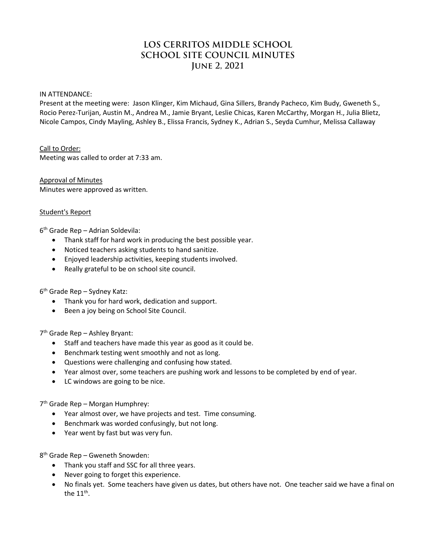# **LOS CERRITOS MIDDLE SCHOOL SCHOOL SITE COUNCIL MINUTES June 2, 2021**

#### IN ATTENDANCE:

Present at the meeting were: Jason Klinger, Kim Michaud, Gina Sillers, Brandy Pacheco, Kim Budy, Gweneth S., Rocio Perez-Turijan, Austin M., Andrea M., Jamie Bryant, Leslie Chicas, Karen McCarthy, Morgan H., Julia Blietz, Nicole Campos, Cindy Mayling, Ashley B., Elissa Francis, Sydney K., Adrian S., Seyda Cumhur, Melissa Callaway

Call to Order: Meeting was called to order at 7:33 am.

Approval of Minutes Minutes were approved as written.

#### Student's Report

6th Grade Rep – Adrian Soldevila:

- Thank staff for hard work in producing the best possible year.
- Noticed teachers asking students to hand sanitize.
- Enjoyed leadership activities, keeping students involved.
- Really grateful to be on school site council.

6th Grade Rep – Sydney Katz:

- Thank you for hard work, dedication and support.
- Been a joy being on School Site Council.

7th Grade Rep – Ashley Bryant:

- Staff and teachers have made this year as good as it could be.
- Benchmark testing went smoothly and not as long.
- Questions were challenging and confusing how stated.
- Year almost over, some teachers are pushing work and lessons to be completed by end of year.
- LC windows are going to be nice.

7th Grade Rep – Morgan Humphrey:

- Year almost over, we have projects and test. Time consuming.
- Benchmark was worded confusingly, but not long.
- Year went by fast but was very fun.

8th Grade Rep – Gweneth Snowden:

- Thank you staff and SSC for all three years.
- Never going to forget this experience.
- No finals yet. Some teachers have given us dates, but others have not. One teacher said we have a final on the  $11<sup>th</sup>$ .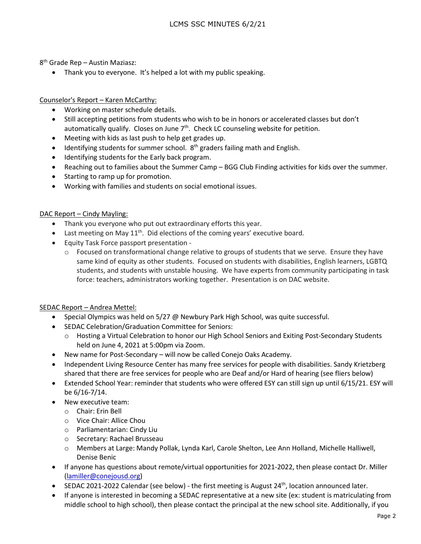8th Grade Rep – Austin Maziasz:

• Thank you to everyone. It's helped a lot with my public speaking.

## Counselor's Report – Karen McCarthy:

- Working on master schedule details.
- Still accepting petitions from students who wish to be in honors or accelerated classes but don't automatically qualify. Closes on June 7<sup>th</sup>. Check LC counseling website for petition.
- Meeting with kids as last push to help get grades up.
- Identifying students for summer school. 8<sup>th</sup> graders failing math and English.
- Identifying students for the Early back program.
- Reaching out to families about the Summer Camp BGG Club Finding activities for kids over the summer.
- Starting to ramp up for promotion.
- Working with families and students on social emotional issues.

## DAC Report – Cindy Mayling:

- Thank you everyone who put out extraordinary efforts this year.
- Last meeting on May  $11<sup>th</sup>$ . Did elections of the coming years' executive board.
- Equity Task Force passport presentation
	- o Focused on transformational change relative to groups of students that we serve. Ensure they have same kind of equity as other students. Focused on students with disabilities, English learners, LGBTQ students, and students with unstable housing. We have experts from community participating in task force: teachers, administrators working together. Presentation is on DAC website.

## SEDAC Report – Andrea Mettel:

- Special Olympics was held on 5/27 @ Newbury Park High School, was quite successful.
- SEDAC Celebration/Graduation Committee for Seniors:
	- o Hosting a Virtual Celebration to honor our High School Seniors and Exiting Post-Secondary Students held on June 4, 2021 at 5:00pm via Zoom.
- New name for Post-Secondary will now be called Conejo Oaks Academy.
- Independent Living Resource Center has many free services for people with disabilities. Sandy Krietzberg shared that there are free services for people who are Deaf and/or Hard of hearing (see fliers below)
- Extended School Year: reminder that students who were offered ESY can still sign up until 6/15/21. ESY will be 6/16-7/14.
- New executive team:
	- o Chair: Erin Bell
	- o Vice Chair: Allice Chou
	- o Parliamentarian: Cindy Liu
	- o Secretary: Rachael Brusseau
	- o Members at Large: Mandy Pollak, Lynda Karl, Carole Shelton, Lee Ann Holland, Michelle Halliwell, Denise Benic
- If anyone has questions about remote/virtual opportunities for 2021-2022, then please contact Dr. Miller [\(lamiller@conejousd.org\)](mailto:lamiller@conejousd.org)
- SEDAC 2021-2022 Calendar (see below) the first meeting is August  $24<sup>th</sup>$ , location announced later.
- If anyone is interested in becoming a SEDAC representative at a new site (ex: student is matriculating from middle school to high school), then please contact the principal at the new school site. Additionally, if you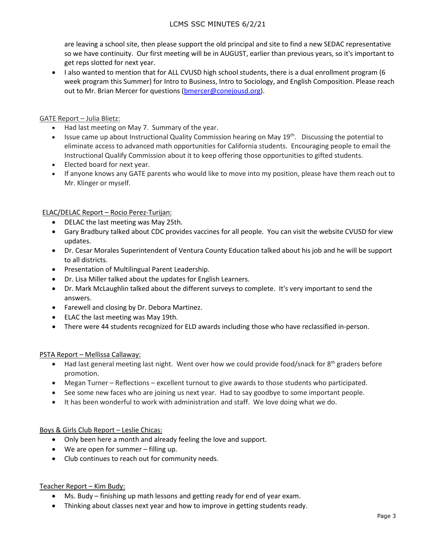# LCMS SSC MINUTES 6/2/21

are leaving a school site, then please support the old principal and site to find a new SEDAC representative so we have continuity. Our first meeting will be in AUGUST, earlier than previous years, so it's important to get reps slotted for next year.

• I also wanted to mention that for ALL CVUSD high school students, there is a dual enrollment program (6 week program this Summer) for Intro to Business, Intro to Sociology, and English Composition. Please reach out to Mr. Brian Mercer for questions [\(bmercer@conejousd.org\)](mailto:bmercer@conejousd.org).

## GATE Report – Julia Blietz:

- Had last meeting on May 7. Summary of the year.
- Issue came up about Instructional Quality Commission hearing on May  $19^{th}$ . Discussing the potential to eliminate access to advanced math opportunities for California students. Encouraging people to email the Instructional Qualify Commission about it to keep offering those opportunities to gifted students.
- Elected board for next year.
- If anyone knows any GATE parents who would like to move into my position, please have them reach out to Mr. Klinger or myself.

## ELAC/DELAC Report – Rocio Perez-Turijan:

- DELAC the last meeting was May 25th.
- Gary Bradbury talked about CDC provides vaccines for all people. You can visit the website CVUSD for view updates.
- Dr. Cesar Morales Superintendent of Ventura County Education talked about his job and he will be support to all districts.
- Presentation of Multilingual Parent Leadership.
- Dr. Lisa Miller talked about the updates for English Learners.
- Dr. Mark McLaughlin talked about the different surveys to complete. It's very important to send the answers.
- Farewell and closing by Dr. Debora Martinez.
- ELAC the last meeting was May 19th.
- There were 44 students recognized for ELD awards including those who have reclassified in-person.

## PSTA Report – Mellissa Callaway:

- Had last general meeting last night. Went over how we could provide food/snack for  $8<sup>th</sup>$  graders before promotion.
- Megan Turner Reflections excellent turnout to give awards to those students who participated.
- See some new faces who are joining us next year. Had to say goodbye to some important people.
- It has been wonderful to work with administration and staff. We love doing what we do.

## Boys & Girls Club Report – Leslie Chicas:

- Only been here a month and already feeling the love and support.
- We are open for summer filling up.
- Club continues to reach out for community needs.

#### Teacher Report – Kim Budy:

- Ms. Budy finishing up math lessons and getting ready for end of year exam.
- Thinking about classes next year and how to improve in getting students ready.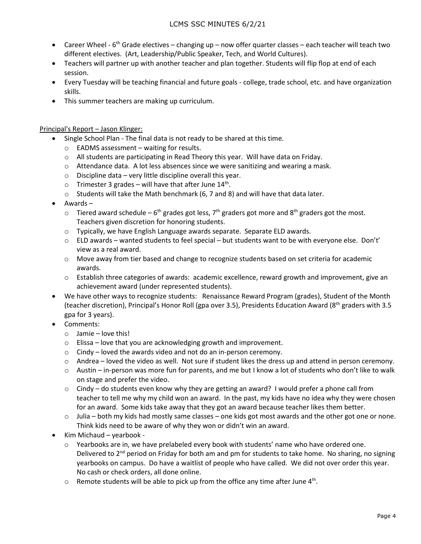# LCMS SSC MINUTES 6/2/21

- Career Wheel  $6<sup>th</sup>$  Grade electives changing up now offer quarter classes each teacher will teach two different electives. (Art, Leadership/Public Speaker, Tech, and World Cultures).
- Teachers will partner up with another teacher and plan together. Students will flip flop at end of each session.
- Every Tuesday will be teaching financial and future goals college, trade school, etc. and have organization skills.
- This summer teachers are making up curriculum.

## Principal's Report – Jason Klinger:

- Single School Plan The final data is not ready to be shared at this time.
	- o EADMS assessment waiting for results.
	- o All students are participating in Read Theory this year. Will have data on Friday.
	- $\circ$  Attendance data. A lot less absences since we were sanitizing and wearing a mask.
	- $\circ$  Discipline data very little discipline overall this year.
	- $\circ$  Trimester 3 grades will have that after June 14<sup>th</sup>.
	- $\circ$  Students will take the Math benchmark (6, 7 and 8) and will have that data later.
- Awards
	- $\circ$  Tiered award schedule 6<sup>th</sup> grades got less, 7<sup>th</sup> graders got more and 8<sup>th</sup> graders got the most. Teachers given discretion for honoring students.
	- $\circ$  Typically, we have English Language awards separate. Separate ELD awards.
	- $\circ$  ELD awards wanted students to feel special but students want to be with everyone else. Don't' view as a real award.
	- $\circ$  Move away from tier based and change to recognize students based on set criteria for academic awards.
	- $\circ$  Establish three categories of awards: academic excellence, reward growth and improvement, give an achievement award (under represented students).
- We have other ways to recognize students: Renaissance Reward Program (grades), Student of the Month (teacher discretion), Principal's Honor Roll (gpa over 3.5), Presidents Education Award (8th graders with 3.5 gpa for 3 years).
- Comments:
	- o Jamie love this!
	- $\circ$  Elissa love that you are acknowledging growth and improvement.
	- o Cindy loved the awards video and not do an in-person ceremony.
	- $\circ$  Andrea loved the video as well. Not sure if student likes the dress up and attend in person ceremony.
	- o Austin in-person was more fun for parents, and me but I know a lot of students who don't like to walk on stage and prefer the video.
	- $\circ$  Cindy do students even know why they are getting an award? I would prefer a phone call from teacher to tell me why my child won an award. In the past, my kids have no idea why they were chosen for an award. Some kids take away that they got an award because teacher likes them better.
	- $\circ$  Julia both my kids had mostly same classes one kids got most awards and the other got one or none. Think kids need to be aware of why they won or didn't win an award.
- Kim Michaud yearbook
	- $\circ$  Yearbooks are in, we have prelabeled every book with students' name who have ordered one. Delivered to 2<sup>nd</sup> period on Friday for both am and pm for students to take home. No sharing, no signing yearbooks on campus. Do have a waitlist of people who have called. We did not over order this year. No cash or check orders, all done online.
	- $\circ$  Remote students will be able to pick up from the office any time after June 4<sup>th</sup>.